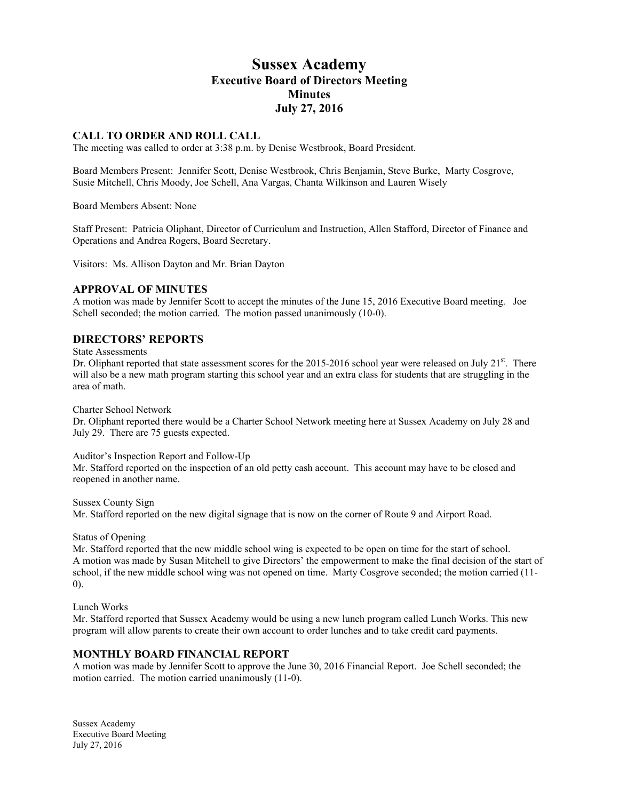# **Sussex Academy Executive Board of Directors Meeting Minutes July 27, 2016**

## **CALL TO ORDER AND ROLL CALL**

The meeting was called to order at 3:38 p.m. by Denise Westbrook, Board President.

Board Members Present: Jennifer Scott, Denise Westbrook, Chris Benjamin, Steve Burke, Marty Cosgrove, Susie Mitchell, Chris Moody, Joe Schell, Ana Vargas, Chanta Wilkinson and Lauren Wisely

Board Members Absent: None

Staff Present: Patricia Oliphant, Director of Curriculum and Instruction, Allen Stafford, Director of Finance and Operations and Andrea Rogers, Board Secretary.

Visitors: Ms. Allison Dayton and Mr. Brian Dayton

### **APPROVAL OF MINUTES**

A motion was made by Jennifer Scott to accept the minutes of the June 15, 2016 Executive Board meeting. Joe Schell seconded; the motion carried. The motion passed unanimously (10-0).

### **DIRECTORS' REPORTS**

State Assessments

Dr. Oliphant reported that state assessment scores for the 2015-2016 school year were released on July  $21<sup>st</sup>$ . There will also be a new math program starting this school year and an extra class for students that are struggling in the area of math.

Charter School Network

Dr. Oliphant reported there would be a Charter School Network meeting here at Sussex Academy on July 28 and July 29. There are 75 guests expected.

#### Auditor's Inspection Report and Follow-Up

Mr. Stafford reported on the inspection of an old petty cash account. This account may have to be closed and reopened in another name.

Sussex County Sign Mr. Stafford reported on the new digital signage that is now on the corner of Route 9 and Airport Road.

#### Status of Opening

Mr. Stafford reported that the new middle school wing is expected to be open on time for the start of school. A motion was made by Susan Mitchell to give Directors' the empowerment to make the final decision of the start of school, if the new middle school wing was not opened on time. Marty Cosgrove seconded; the motion carried (11- 0).

Lunch Works

Mr. Stafford reported that Sussex Academy would be using a new lunch program called Lunch Works. This new program will allow parents to create their own account to order lunches and to take credit card payments.

#### **MONTHLY BOARD FINANCIAL REPORT**

A motion was made by Jennifer Scott to approve the June 30, 2016 Financial Report. Joe Schell seconded; the motion carried. The motion carried unanimously (11-0).

Sussex Academy Executive Board Meeting July 27, 2016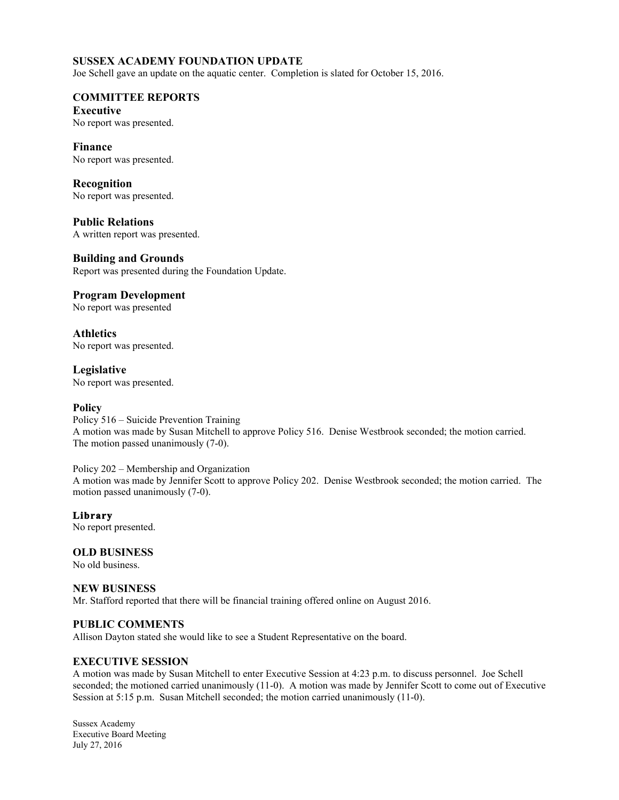# **SUSSEX ACADEMY FOUNDATION UPDATE**

Joe Schell gave an update on the aquatic center. Completion is slated for October 15, 2016.

# **COMMITTEE REPORTS**

**Executive** No report was presented.

**Finance** No report was presented.

**Recognition** No report was presented.

**Public Relations** A written report was presented.

### **Building and Grounds**

Report was presented during the Foundation Update.

# **Program Development**

No report was presented

**Athletics** No report was presented.

# **Legislative**

No report was presented.

### **Policy**

Policy 516 – Suicide Prevention Training A motion was made by Susan Mitchell to approve Policy 516. Denise Westbrook seconded; the motion carried. The motion passed unanimously (7-0).

Policy 202 – Membership and Organization A motion was made by Jennifer Scott to approve Policy 202. Denise Westbrook seconded; the motion carried. The motion passed unanimously (7-0).

### **Library**

No report presented.

### **OLD BUSINESS**

No old business.

### **NEW BUSINESS**

Mr. Stafford reported that there will be financial training offered online on August 2016.

### **PUBLIC COMMENTS**

Allison Dayton stated she would like to see a Student Representative on the board.

# **EXECUTIVE SESSION**

A motion was made by Susan Mitchell to enter Executive Session at 4:23 p.m. to discuss personnel. Joe Schell seconded; the motioned carried unanimously (11-0). A motion was made by Jennifer Scott to come out of Executive Session at 5:15 p.m. Susan Mitchell seconded; the motion carried unanimously (11-0).

Sussex Academy Executive Board Meeting July 27, 2016